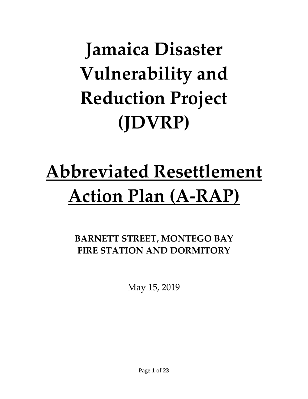# **Jamaica Disaster Vulnerability and Reduction Project (JDVRP)**

# **Abbreviated Resettlement Action Plan (A-RAP)**

# **BARNETT STREET, MONTEGO BAY FIRE STATION AND DORMITORY**

May 15, 2019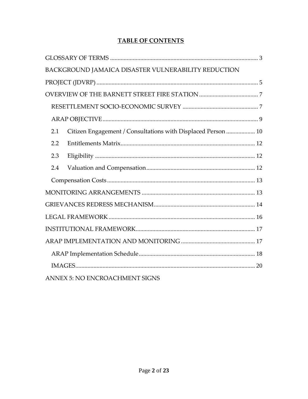|--|

| BACKGROUND JAMAICA DISASTER VULNERABILITY REDUCTION                 |
|---------------------------------------------------------------------|
|                                                                     |
|                                                                     |
|                                                                     |
|                                                                     |
| Citizen Engagement / Consultations with Displaced Person  10<br>2.1 |
| 2.2                                                                 |
| 2.3                                                                 |
| 2.4                                                                 |
|                                                                     |
|                                                                     |
|                                                                     |
|                                                                     |
|                                                                     |
|                                                                     |
|                                                                     |
|                                                                     |
| ANNEX 5: NO ENCROACHMENT SIGNS                                      |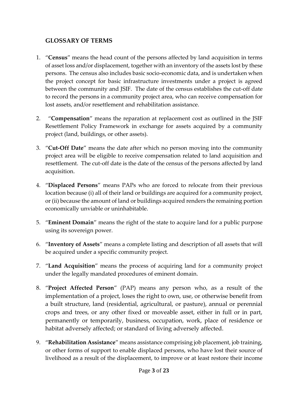#### <span id="page-2-0"></span>**GLOSSARY OF TERMS**

- 1. "**Census**" means the head count of the persons affected by land acquisition in terms of asset loss and/or displacement, together with an inventory of the assets lost by these persons. The census also includes basic socio-economic data, and is undertaken when the project concept for basic infrastructure investments under a project is agreed between the community and JSIF. The date of the census establishes the cut-off date to record the persons in a community project area, who can receive compensation for lost assets, and/or resettlement and rehabilitation assistance.
- 2. "**Compensation**" means the reparation at replacement cost as outlined in the JSIF Resettlement Policy Framework in exchange for assets acquired by a community project (land, buildings, or other assets).
- 3. "**Cut-Off Date**" means the date after which no person moving into the community project area will be eligible to receive compensation related to land acquisition and resettlement. The cut-off date is the date of the census of the persons affected by land acquisition.
- 4. "**Displaced Persons**" means PAPs who are forced to relocate from their previous location because (i) all of their land or buildings are acquired for a community project, or (ii) because the amount of land or buildings acquired renders the remaining portion economically unviable or uninhabitable.
- 5. "**Eminent Domain**" means the right of the state to acquire land for a public purpose using its sovereign power.
- 6. "**Inventory of Assets**" means a complete listing and description of all assets that will be acquired under a specific community project.
- 7. "**Land Acquisition**" means the process of acquiring land for a community project under the legally mandated procedures of eminent domain.
- 8. "**Project Affected Person**" (PAP) means any person who, as a result of the implementation of a project, loses the right to own, use, or otherwise benefit from a built structure, land (residential, agricultural, or pasture), annual or perennial crops and trees, or any other fixed or moveable asset, either in full or in part, permanently or temporarily, business, occupation, work, place of residence or habitat adversely affected; or standard of living adversely affected.
- 9. "**Rehabilitation Assistance**" means assistance comprising job placement, job training, or other forms of support to enable displaced persons, who have lost their source of livelihood as a result of the displacement, to improve or at least restore their income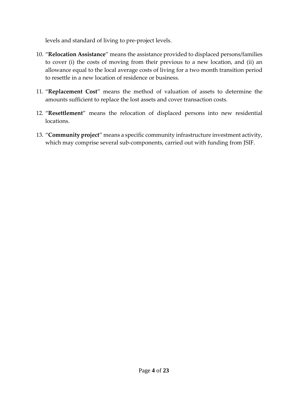levels and standard of living to pre-project levels.

- 10. "**Relocation Assistance**" means the assistance provided to displaced persons/families to cover (i) the costs of moving from their previous to a new location, and (ii) an allowance equal to the local average costs of living for a two month transition period to resettle in a new location of residence or business.
- 11. "**Replacement Cost**" means the method of valuation of assets to determine the amounts sufficient to replace the lost assets and cover transaction costs.
- 12. "**Resettlement**" means the relocation of displaced persons into new residential locations.
- 13. "**Community project**" means a specific community infrastructure investment activity, which may comprise several sub-components, carried out with funding from JSIF.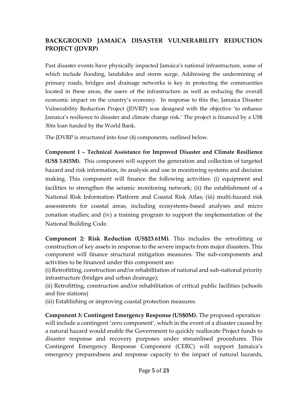### <span id="page-4-0"></span>**BACKGROUND JAMAICA DISASTER VULNERABILITY REDUCTION PROJECT (JDVRP)**

Past disaster events have physically impacted Jamaica's national infrastructure, some of which include flooding, landslides and storm surge. Addressing the undermining of primary roads, bridges and drainage networks is key in protecting the communities located in these areas, the users of the infrastructure as well as reducing the overall economic impact on the country's economy. In response to this the, Jamaica Disaster Vulnerability Reduction Project (JDVRP) was designed with the objective 'to enhance Jamaica's resilience to disaster and climate change risk.' The project is financed by a US\$ 30m loan funded by the World Bank.

The JDVRP is structured into four (4) components, outlined below.

**Component 1 – Technical Assistance for Improved Disaster and Climate Resilience (US\$ 3.815M).** This component will support the generation and collection of targeted hazard and risk information, its analysis and use in monitoring systems and decision making. This component will finance the following activities: (i) equipment and facilities to strengthen the seismic monitoring network; (ii) the establishment of a National Risk Information Platform and Coastal Risk Atlas; (iii) multi-hazard risk assessments for coastal areas, including ecosystems-based analyses and micro zonation studies; and (iv) a training program to support the implementation of the National Building Code.

**Component 2: Risk Reduction (US\$23.61M).** This includes the retrofitting or construction of key assets in response to the severe impacts from major disasters. This component will finance structural mitigation measures. The sub-components and activities to be financed under this component are:

(i) Retrofitting, construction and/or rehabilitation of national and sub-national priority infrastructure (bridges and urban drainage);

(ii) Retrofitting, construction and/or rehabilitation of critical public facilities (schools and fire stations)

(iii) Establishing or improving coastal protection measures.

**Component 3: Contingent Emergency Response (US\$0M).** The proposed operation will include a contingent 'zero component', which in the event of a disaster caused by a natural hazard would enable the Government to quickly reallocate Project funds to disaster response and recovery purposes under streamlined procedures. This Contingent Emergency Response Component (CERC) will support Jamaica's emergency preparedness and response capacity to the impact of natural hazards,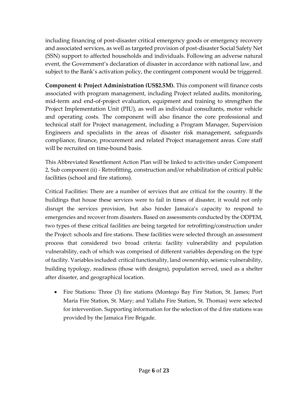including financing of post-disaster critical emergency goods or emergency recovery and associated services, as well as targeted provision of post-disaster Social Safety Net (SSN) support to affected households and individuals. Following an adverse natural event, the Government's declaration of disaster in accordance with national law, and subject to the Bank's activation policy, the contingent component would be triggered.

**Component 4: Project Administration (US\$2.5M).** This component will finance costs associated with program management, including Project related audits, monitoring, mid-term and end-of-project evaluation, equipment and training to strengthen the Project Implementation Unit (PIU), as well as individual consultants, motor vehicle and operating costs. The component will also finance the core professional and technical staff for Project management, including a Program Manager, Supervision Engineers and specialists in the areas of disaster risk management, safeguards compliance, finance, procurement and related Project management areas. Core staff will be recruited on time-bound basis.

This Abbreviated Resettlement Action Plan will be linked to activities under Component 2, Sub component (ii) - Retrofitting, construction and/or rehabilitation of critical public facilities (school and fire stations).

Critical Facilities: There are a number of services that are critical for the country. If the buildings that house these services were to fail in times of disaster, it would not only disrupt the services provision, but also hinder Jamaica's capacity to respond to emergencies and recover from disasters. Based on assessments conducted by the ODPEM, two types of these critical facilities are being targeted for retrofitting/construction under the Project: schools and fire stations. These facilities were selected through an assessment process that considered two broad criteria: facility vulnerability and population vulnerability, each of which was comprised of different variables depending on the type of facility. Variables included: critical functionality, land ownership, seismic vulnerability, building typology, readiness (those with designs), population served, used as a shelter after disaster, and geographical location.

• Fire Stations: Three (3) fire stations (Montego Bay Fire Station, St. James; Port Maria Fire Station, St. Mary; and Yallahs Fire Station, St. Thomas) were selected for intervention. Supporting information for the selection of the d fire stations was provided by the Jamaica Fire Brigade.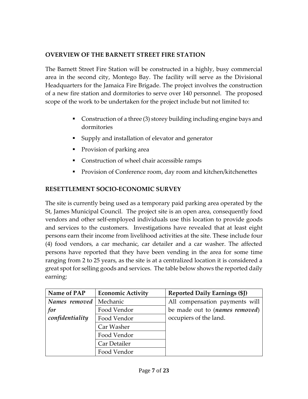#### <span id="page-6-0"></span>**OVERVIEW OF THE BARNETT STREET FIRE STATION**

The Barnett Street Fire Station will be constructed in a highly, busy commercial area in the second city, Montego Bay. The facility will serve as the Divisional Headquarters for the Jamaica Fire Brigade. The project involves the construction of a new fire station and dormitories to serve over 140 personnel. The proposed scope of the work to be undertaken for the project include but not limited to:

- Construction of a three (3) storey building including engine bays and dormitories
- Supply and installation of elevator and generator
- Provision of parking area
- Construction of wheel chair accessible ramps
- Provision of Conference room, day room and kitchen/kitchenettes

#### <span id="page-6-1"></span>**RESETTLEMENT SOCIO-ECONOMIC SURVEY**

The site is currently being used as a temporary paid parking area operated by the St, James Municipal Council. The project site is an open area, consequently food vendors and other self-employed individuals use this location to provide goods and services to the customers. Investigations have revealed that at least eight persons earn their income from livelihood activities at the site. These include four (4) food vendors, a car mechanic, car detailer and a car washer. The affected persons have reported that they have been vending in the area for some time ranging from 2 to 25 years, as the site is at a centralized location it is considered a great spot for selling goods and services. The table below shows the reported daily earning:

| Name of PAP     | <b>Economic Activity</b> | <b>Reported Daily Earnings (\$J)</b> |
|-----------------|--------------------------|--------------------------------------|
| Names removed   | Mechanic                 | All compensation payments will       |
| for             | Food Vendor              | be made out to (names removed)       |
| confidentiality | Food Vendor              | occupiers of the land.               |
|                 | Car Washer               |                                      |
|                 | Food Vendor              |                                      |
|                 | Car Detailer             |                                      |
|                 | Food Vendor              |                                      |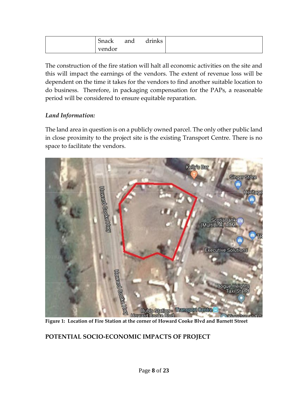| Snack  | and | drinks |
|--------|-----|--------|
| vendor |     |        |

The construction of the fire station will halt all economic activities on the site and this will impact the earnings of the vendors. The extent of revenue loss will be dependent on the time it takes for the vendors to find another suitable location to do business. Therefore, in packaging compensation for the PAPs, a reasonable period will be considered to ensure equitable reparation.

#### *Land Information:*

The land area in question is on a publicly owned parcel. The only other public land in close proximity to the project site is the existing Transport Centre. There is no space to facilitate the vendors.



#### **POTENTIAL SOCIO-ECONOMIC IMPACTS OF PROJECT**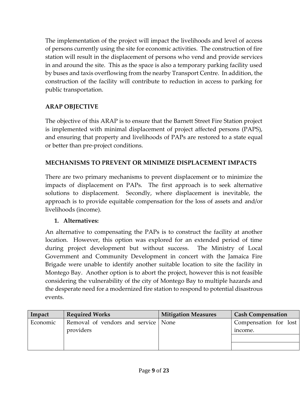The implementation of the project will impact the livelihoods and level of access of persons currently using the site for economic activities.The construction of fire station will result in the displacement of persons who vend and provide services in and around the site. This as the space is also a temporary parking facility used by buses and taxis overflowing from the nearby Transport Centre. In addition, the construction of the facility will contribute to reduction in access to parking for public transportation.

## <span id="page-8-0"></span>**ARAP OBJECTIVE**

The objective of this ARAP is to ensure that the Barnett Street Fire Station project is implemented with minimal displacement of project affected persons (PAPS), and ensuring that property and livelihoods of PAPs are restored to a state equal or better than pre-project conditions.

### **MECHANISMS TO PREVENT OR MINIMIZE DISPLACEMENT IMPACTS**

There are two primary mechanisms to prevent displacement or to minimize the impacts of displacement on PAPs. The first approach is to seek alternative solutions to displacement. Secondly, where displacement is inevitable, the approach is to provide equitable compensation for the loss of assets and and/or livelihoods (income).

#### **1. Alternatives:**

An alternative to compensating the PAPs is to construct the facility at another location. However, this option was explored for an extended period of time during project development but without success. The Ministry of Local Government and Community Development in concert with the Jamaica Fire Brigade were unable to identify another suitable location to site the facility in Montego Bay. Another option is to abort the project, however this is not feasible considering the vulnerability of the city of Montego Bay to multiple hazards and the desperate need for a modernized fire station to respond to potential disastrous events.

| Impact   | <b>Required Works</b>               | <b>Mitigation Measures</b> | <b>Cash Compensation</b> |
|----------|-------------------------------------|----------------------------|--------------------------|
| Economic | Removal of vendors and service None |                            | Compensation for lost    |
|          | providers                           |                            | income.                  |
|          |                                     |                            |                          |
|          |                                     |                            |                          |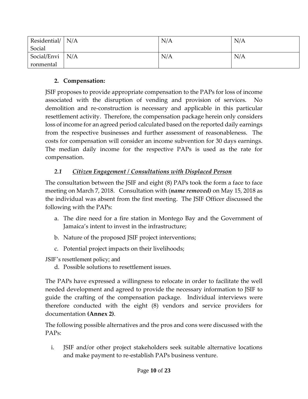| Residential/ | N/A | N/A | N/A |
|--------------|-----|-----|-----|
| Social       |     |     |     |
| Social/Envi  | N/A | N/A | N/A |
| ronmental    |     |     |     |

#### **2. Compensation:**

JSIF proposes to provide appropriate compensation to the PAPs for loss of income associated with the disruption of vending and provision of services. No demolition and re-construction is necessary and applicable in this particular resettlement activity. Therefore, the compensation package herein only considers loss of income for an agreed period calculated based on the reported daily earnings from the respective businesses and further assessment of reasonableness. The costs for compensation will consider an income subvention for 30 days earnings. The median daily income for the respective PAPs is used as the rate for compensation.

## <span id="page-9-0"></span>*2.1 Citizen Engagement / Consultations with Displaced Person*

The consultation between the JSIF and eight (8) PAPs took the form a face to face meeting on March 7, 2018. Consultation with (*name removed)* on May 15, 2018 as the individual was absent from the first meeting. The JSIF Officer discussed the following with the PAPs:

- a. The dire need for a fire station in Montego Bay and the Government of Jamaica's intent to invest in the infrastructure;
- b. Nature of the proposed JSIF project interventions;
- c. Potential project impacts on their livelihoods;

JSIF's resettlement policy; and

d. Possible solutions to resettlement issues.

The PAPs have expressed a willingness to relocate in order to facilitate the well needed development and agreed to provide the necessary information to JSIF to guide the crafting of the compensation package. Individual interviews were therefore conducted with the eight (8) vendors and service providers for documentation **(Annex 2)**.

The following possible alternatives and the pros and cons were discussed with the PAPs:

i. JSIF and/or other project stakeholders seek suitable alternative locations and make payment to re-establish PAPs business venture.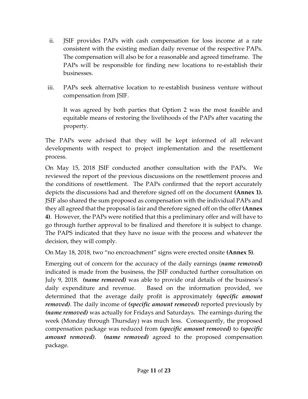- ii. JSIF provides PAPs with cash compensation for loss income at a rate consistent with the existing median daily revenue of the respective PAPs. The compensation will also be for a reasonable and agreed timeframe. The PAPs will be responsible for finding new locations to re-establish their businesses.
- iii. PAPs seek alternative location to re-establish business venture without compensation from JSIF.

It was agreed by both parties that Option 2 was the most feasible and equitable means of restoring the livelihoods of the PAPs after vacating the property.

The PAPs were advised that they will be kept informed of all relevant developments with respect to project implementation and the resettlement process.

On May 15, 2018 JSIF conducted another consultation with the PAPs. We reviewed the report of the previous discussions on the resettlement process and the conditions of resettlement. The PAPs confirmed that the report accurately depicts the discussions had and therefore signed off on the document **(Annex 1).**  JSIF also shared the sum proposed as compensation with the individual PAPs and they all agreed that the proposal is fair and therefore signed off on the offer **(Annex 4)**. However, the PAPs were notified that this a preliminary offer and will have to go through further approval to be finalized and therefore it is subject to change. The PAPS indicated that they have no issue with the process and whatever the decision, they will comply.

On May 18, 2018, two "no encroachment" signs were erected onsite **(Annex 5)**.

Emerging out of concern for the accuracy of the daily earnings (*name removed)* indicated is made from the business, the JSIF conducted further consultation on July 9, 2018. *(name removed)* was able to provide oral details of the business's daily expenditure and revenue. Based on the information provided, we determined that the average daily profit is approximately *(specific amount removed)*. The daily income of *(specific amount removed)* reported previously by *(name removed)* was actually for Fridays and Saturdays. The earnings during the week (Monday through Thursday) was much less. Consequently, the proposed compensation package was reduced from *(specific amount removed)* to *(specific amount removed)*. *(name removed)* agreed to the proposed compensation package.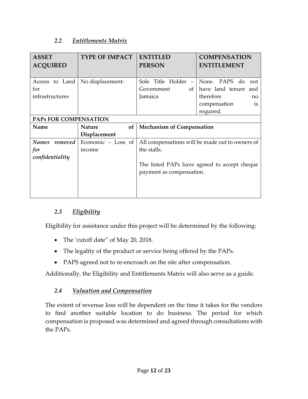#### <span id="page-11-0"></span>*2.2 Entitlements Matrix*

| <b>ASSET</b><br><b>ACQUIRED</b> | <b>TYPE OF IMPACT</b> | <b>ENTITLED</b><br><b>PERSON</b>                | <b>COMPENSATION</b><br><b>ENTITLEMENT</b> |  |
|---------------------------------|-----------------------|-------------------------------------------------|-------------------------------------------|--|
|                                 |                       |                                                 |                                           |  |
| Access to Land                  | No displacement:      | Sole Title Holder -                             | None. PAPS do<br>not                      |  |
| for                             |                       | Government<br>of                                | have land tenure<br>and                   |  |
| infrastructures                 |                       | Jamaica                                         | therefore<br>no                           |  |
|                                 |                       |                                                 | compensation<br>is                        |  |
|                                 |                       |                                                 | required.                                 |  |
| <b>PAPS FOR COMPENSATION</b>    |                       |                                                 |                                           |  |
| Name                            | of<br><b>Nature</b>   | <b>Mechanism of Compensation</b>                |                                           |  |
|                                 | Displacement          |                                                 |                                           |  |
| <b>Names</b><br>removed         | Economic - Loss of    | All compensations will be made out to owners of |                                           |  |
| for                             | income                | the stalls.                                     |                                           |  |
| confidentiality                 |                       |                                                 |                                           |  |
|                                 |                       | The listed PAPs have agreed to accept cheque    |                                           |  |
|                                 |                       | payment as compensation.                        |                                           |  |
|                                 |                       |                                                 |                                           |  |
|                                 |                       |                                                 |                                           |  |
|                                 |                       |                                                 |                                           |  |

#### <span id="page-11-1"></span>*2.3 Eligibility*

Eligibility for assistance under this project will be determined by the following:

- The 'cutoff date" of May 20, 2018.
- The legality of the product or service being offered by the PAPs.
- PAPS agreed not to re-encroach on the site after compensation.

Additionally, the Eligibility and Entitlements Matrix will also serve as a guide.

#### <span id="page-11-2"></span>*2.4 Valuation and Compensation*

The extent of revenue loss will be dependent on the time it takes for the vendors to find another suitable location to do business. The period for which compensation is proposed was determined and agreed through consultations with the PAPs.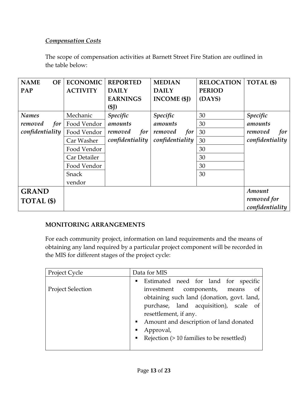#### <span id="page-12-0"></span>*Compensation Costs*

The scope of compensation activities at Barnett Street Fire Station are outlined in the table below:

| <b>NAME</b><br>OF | <b>ECONOMIC</b> | <b>REPORTED</b> | <b>MEDIAN</b>       | <b>RELOCATION</b> | TOTAL (\$)      |
|-------------------|-----------------|-----------------|---------------------|-------------------|-----------------|
| PAP               | <b>ACTIVITY</b> | <b>DAILY</b>    | <b>DAILY</b>        | <b>PERIOD</b>     |                 |
|                   |                 | <b>EARNINGS</b> | <b>INCOME</b> (\$J) | (DAYS)            |                 |
|                   |                 | (SJ)            |                     |                   |                 |
| <b>Names</b>      | Mechanic        | Specific        | <b>Specific</b>     | 30                | Specific        |
| removed<br>for    | Food Vendor     | amounts         | amounts             | 30                | amounts         |
| confidentiality   | Food Vendor     | removed<br>for  | removed<br>for      | 30                | removed<br>for  |
|                   | Car Washer      | confidentiality | confidentiality     | 30                | confidentiality |
|                   | Food Vendor     |                 |                     | 30                |                 |
|                   | Car Detailer    |                 |                     | 30                |                 |
|                   | Food Vendor     |                 |                     | 30                |                 |
|                   | Snack           |                 |                     | 30                |                 |
|                   | vendor          |                 |                     |                   |                 |
| <b>GRAND</b>      |                 |                 |                     |                   | Amount          |
| <b>TOTAL</b> (\$) |                 |                 |                     |                   | removed for     |
|                   |                 |                 |                     |                   | confidentiality |

### <span id="page-12-1"></span>**MONITORING ARRANGEMENTS**

For each community project, information on land requirements and the means of obtaining any land required by a particular project component will be recorded in the MIS for different stages of the project cycle:

| Project Cycle            | Data for MIS                                                |
|--------------------------|-------------------------------------------------------------|
|                          | <b>Estimated</b> need for land for specific                 |
| <b>Project Selection</b> | of<br>investment components, means                          |
|                          | obtaining such land (donation, govt. land,                  |
|                          | purchase, land acquisition), scale of                       |
|                          | resettlement, if any.                                       |
|                          | Amount and description of land donated                      |
|                          | Approval,<br>п                                              |
|                          | Rejection (> 10 families to be resettled)<br>$\blacksquare$ |
|                          |                                                             |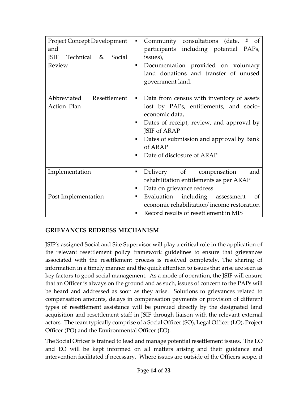| <b>Project Concept Development</b><br>and<br>JSIF Technical &<br>Social<br>Review | Community consultations (date, # of<br>٠<br>participants including potential PAPs,<br>issues),<br>Documentation provided on voluntary<br>٠<br>land donations and transfer of unused<br>government land.                                                                                          |
|-----------------------------------------------------------------------------------|--------------------------------------------------------------------------------------------------------------------------------------------------------------------------------------------------------------------------------------------------------------------------------------------------|
| Abbreviated<br>Resettlement<br>Action Plan                                        | Data from census with inventory of assets<br>$\blacksquare$<br>lost by PAPs, entitlements, and socio-<br>economic data,<br>Dates of receipt, review, and approval by<br>ш<br>JSIF of ARAP<br>Dates of submission and approval by Bank<br>$\blacksquare$<br>of ARAP<br>Date of disclosure of ARAP |
| Implementation                                                                    | Delivery of compensation<br>٠<br>and<br>rehabilitation entitlements as per ARAP<br>Data on grievance redress<br>ш                                                                                                                                                                                |
| Post Implementation                                                               | Evaluation including assessment<br>of<br>٠<br>economic rehabilitation/income restoration<br>Record results of resettlement in MIS                                                                                                                                                                |

#### <span id="page-13-0"></span>**GRIEVANCES REDRESS MECHANISM**

JSIF's assigned Social and Site Supervisor will play a critical role in the application of the relevant resettlement policy framework guidelines to ensure that grievances associated with the resettlement process is resolved completely. The sharing of information in a timely manner and the quick attention to issues that arise are seen as key factors to good social management. As a mode of operation, the JSIF will ensure that an Officer is always on the ground and as such, issues of concern to the PAPs will be heard and addressed as soon as they arise. Solutions to grievances related to compensation amounts, delays in compensation payments or provision of different types of resettlement assistance will be pursued directly by the designated land acquisition and resettlement staff in JSIF through liaison with the relevant external actors. The team typically comprise of a Social Officer (SO), Legal Officer (LO), Project Officer (PO) and the Environmental Officer (EO).

The Social Officer is trained to lead and manage potential resettlement issues. The LO and EO will be kept informed on all matters arising and their guidance and intervention facilitated if necessary. Where issues are outside of the Officers scope, it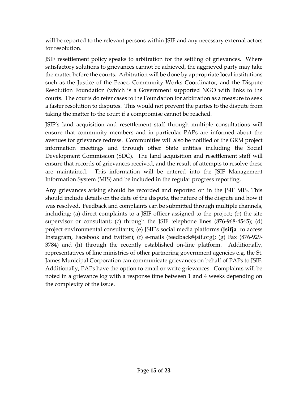will be reported to the relevant persons within JSIF and any necessary external actors for resolution.

JSIF resettlement policy speaks to arbitration for the settling of grievances. Where satisfactory solutions to grievances cannot be achieved, the aggrieved party may take the matter before the courts. Arbitration will be done by appropriate local institutions such as the Justice of the Peace, Community Works Coordinator, and the Dispute Resolution Foundation (which is a Government supported NGO with links to the courts. The courts do refer cases to the Foundation for arbitration as a measure to seek a faster resolution to disputes. This would not prevent the parties to the dispute from taking the matter to the court if a compromise cannot be reached.

JSIF's land acquisition and resettlement staff through multiple consultations will ensure that community members and in particular PAPs are informed about the avenues for grievance redress. Communities will also be notified of the GRM project information meetings and through other State entities including the Social Development Commission (SDC). The land acquisition and resettlement staff will ensure that records of grievances received, and the result of attempts to resolve these are maintained. This information will be entered into the JSIF Management Information System (MIS) and be included in the regular progress reporting.

Any grievances arising should be recorded and reported on in the JSIF MIS. This should include details on the date of the dispute, the nature of the dispute and how it was resolved. Feedback and complaints can be submitted through multiple channels, including: (a) direct complaints to a JSIF officer assigned to the project; (b) the site supervisor or consultant; (c) through the JSIF telephone lines (876-968-4545); (d) project environmental consultants; (e) JSIF's social media platforms (**jsifja** to access Instagram, Facebook and twitter); (f) e-mails (feedback@jsif.org); (g) Fax (876-929- 3784) and (h) through the recently established on-line platform. Additionally, representatives of line ministries of other partnering government agencies e.g. the St. James Municipal Corporation can communicate grievances on behalf of PAPs to JSIF. Additionally, PAPs have the option to email or write grievances. Complaints will be noted in a grievance log with a response time between 1 and 4 weeks depending on the complexity of the issue.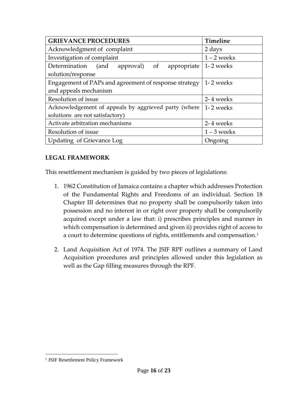| <b>GRIEVANCE PROCEDURES</b>                             | Timeline      |
|---------------------------------------------------------|---------------|
| Acknowledgment of complaint                             | 2 days        |
| Investigation of complaint                              | $1 - 2$ weeks |
| Determination<br>(and<br>of<br>approval)<br>appropriate | 1-2 weeks     |
| solution/response                                       |               |
| Engagement of PAPs and agreement of response strategy   | 1-2 weeks     |
| and appeals mechanism                                   |               |
| Resolution of issue                                     | 2-4 weeks     |
| Acknowledgement of appeals by aggrieved party (where    | 1-2 weeks     |
| solutions are not satisfactory)                         |               |
| Activate arbitration mechanisms                         | 2-4 weeks     |
| Resolution of issue                                     | $1 - 3$ weeks |
| Updating of Grievance Log                               | Ongoing       |

#### <span id="page-15-0"></span>**LEGAL FRAMEWORK**

This resettlement mechanism is guided by two pieces of legislations:

- 1. 1962 Constitution of Jamaica contains a chapter which addresses Protection of the Fundamental Rights and Freedoms of an individual. Section 18 Chapter III determines that no property shall be compulsorily taken into possession and no interest in or right over property shall be compulsorily acquired except under a law that: i) prescribes principles and manner in which compensation is determined and given ii) provides right of access to a court to determine questions of rights, entitlements and compensation.<sup>1</sup>
- 2. Land Acquisition Act of 1974. The JSIF RPF outlines a summary of Land Acquisition procedures and principles allowed under this legislation as well as the Gap filling measures through the RPF.

 $\overline{a}$ 

<sup>&</sup>lt;sup>1</sup> JSIF Resettlement Policy Framework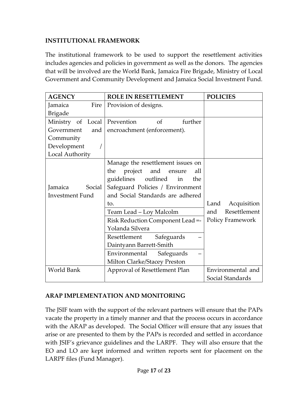#### <span id="page-16-0"></span>**INSTITUTIONAL FRAMEWORK**

The institutional framework to be used to support the resettlement activities includes agencies and policies in government as well as the donors. The agencies that will be involved are the World Bank, Jamaica Fire Brigade, Ministry of Local Government and Community Development and Jamaica Social Investment Fund.

| <b>AGENCY</b>                | <b>ROLE IN RESETTLEMENT</b>       | <b>POLICIES</b>         |
|------------------------------|-----------------------------------|-------------------------|
| Jamaica<br>Fire              | Provision of designs.             |                         |
| <b>Brigade</b>               |                                   |                         |
| Ministry of Local Prevention | further<br>of                     |                         |
| Government<br>and            | encroachment (enforcement).       |                         |
| Community                    |                                   |                         |
| Development                  |                                   |                         |
| Local Authority              |                                   |                         |
|                              | Manage the resettlement issues on |                         |
|                              | project and ensure<br>the<br>all  |                         |
|                              | guidelines outlined in the        |                         |
| Social<br>Jamaica            | Safeguard Policies / Environment  |                         |
| <b>Investment Fund</b>       | and Social Standards are adhered  |                         |
|                              | to.                               | Land<br>Acquisition     |
|                              | Team Lead - Loy Malcolm           | Resettlement<br>and     |
|                              | Risk Reduction Component Lead =-  | <b>Policy Framework</b> |
|                              | Yolanda Silvera                   |                         |
|                              | Resettlement<br>Safeguards        |                         |
|                              | Daintyann Barrett-Smith           |                         |
|                              | Environmental<br>Safeguards       |                         |
|                              | Milton Clarke/Stacey Preston      |                         |
| World Bank                   | Approval of Resettlement Plan     | Environmental and       |
|                              |                                   | Social Standards        |

#### <span id="page-16-1"></span>**ARAP IMPLEMENTATION AND MONITORING**

The JSIF team with the support of the relevant partners will ensure that the PAPs vacate the property in a timely manner and that the process occurs in accordance with the ARAP as developed. The Social Officer will ensure that any issues that arise or are presented to them by the PAPs is recorded and settled in accordance with JSIF's grievance guidelines and the LARPF. They will also ensure that the EO and LO are kept informed and written reports sent for placement on the LARPF files (Fund Manager).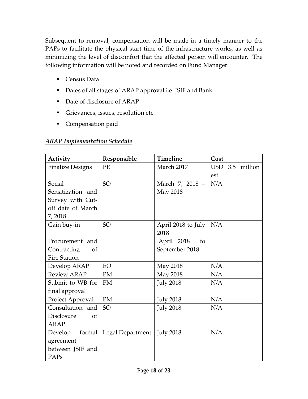Subsequent to removal, compensation will be made in a timely manner to the PAPs to facilitate the physical start time of the infrastructure works, as well as minimizing the level of discomfort that the affected person will encounter. The following information will be noted and recorded on Fund Manager:

- Census Data
- Dates of all stages of ARAP approval i.e. JSIF and Bank
- Date of disclosure of ARAP
- **•** Grievances, issues, resolution etc.
- **•** Compensation paid

#### <span id="page-17-0"></span>*ARAP Implementation Schedule*

| Activity                    | Responsible      | <b>Timeline</b>    | Cost            |
|-----------------------------|------------------|--------------------|-----------------|
| <b>Finalize Designs</b>     | PE               | March 2017         | USD 3.5 million |
|                             |                  |                    | est.            |
| Social                      | <b>SO</b>        | March 7, 2018 -    | N/A             |
| Sensitization and           |                  | May 2018           |                 |
| Survey with Cut-            |                  |                    |                 |
| off date of March           |                  |                    |                 |
| 7,2018                      |                  |                    |                 |
| Gain buy-in                 | SO <sub>1</sub>  | April 2018 to July | N/A             |
|                             |                  | 2018               |                 |
| Procurement and             |                  | April 2018<br>to   |                 |
| Contracting<br>of           |                  | September 2018     |                 |
| <b>Fire Station</b>         |                  |                    |                 |
| Develop ARAP                | EO               | May 2018           | N/A             |
| <b>Review ARAP</b>          | PM               | May 2018           | N/A             |
| Submit to WB for            | PM               | <b>July 2018</b>   | N/A             |
| final approval              |                  |                    |                 |
| Project Approval            | PM               | <b>July 2018</b>   | N/A             |
| Consultation and            | <b>SO</b>        | <b>July 2018</b>   | N/A             |
| Disclosure<br><sub>of</sub> |                  |                    |                 |
| ARAP.                       |                  |                    |                 |
| Develop<br>formal           | Legal Department | <b>July 2018</b>   | N/A             |
| agreement                   |                  |                    |                 |
| between JSIF and            |                  |                    |                 |
| PAPs                        |                  |                    |                 |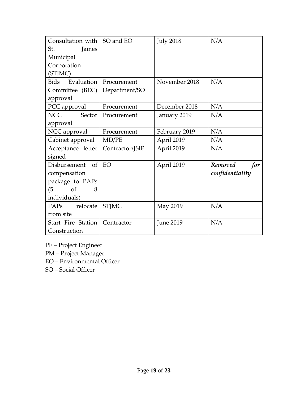| Consultation with         | SO and EO       | <b>July 2018</b> | N/A            |  |  |  |  |  |
|---------------------------|-----------------|------------------|----------------|--|--|--|--|--|
| St.<br>James              |                 |                  |                |  |  |  |  |  |
| Municipal                 |                 |                  |                |  |  |  |  |  |
| Corporation               |                 |                  |                |  |  |  |  |  |
| (STJMC)                   |                 |                  |                |  |  |  |  |  |
| Evaluation<br>Bids        | Procurement     | November 2018    | N/A            |  |  |  |  |  |
| Committee (BEC)           | Department/SO   |                  |                |  |  |  |  |  |
| approval                  |                 |                  |                |  |  |  |  |  |
| PCC approval              | Procurement     | December 2018    | N/A            |  |  |  |  |  |
| NCC NCC<br>Sector         | Procurement     | January 2019     | N/A            |  |  |  |  |  |
| approval                  |                 |                  |                |  |  |  |  |  |
| NCC approval              | Procurement     | February 2019    | N/A            |  |  |  |  |  |
| Cabinet approval          | MD/PE           | April 2019       | N/A            |  |  |  |  |  |
| Acceptance letter         | Contractor/JSIF | April 2019       | N/A            |  |  |  |  |  |
| signed                    |                 |                  |                |  |  |  |  |  |
| of<br>Disbursement        | EO              | April 2019       | Removed<br>for |  |  |  |  |  |
| compensation              | confidentiality |                  |                |  |  |  |  |  |
| package to PAPs           |                 |                  |                |  |  |  |  |  |
| <sub>of</sub><br>(5)<br>8 |                 |                  |                |  |  |  |  |  |
| individuals)              |                 |                  |                |  |  |  |  |  |
| PAPs<br>relocate          | <b>STJMC</b>    | N/A<br>May 2019  |                |  |  |  |  |  |
| from site                 |                 |                  |                |  |  |  |  |  |
| Start Fire Station        | Contractor      | <b>June 2019</b> | N/A            |  |  |  |  |  |
| Construction              |                 |                  |                |  |  |  |  |  |

- PE Project Engineer
- PM Project Manager
- EO Environmental Officer
- SO Social Officer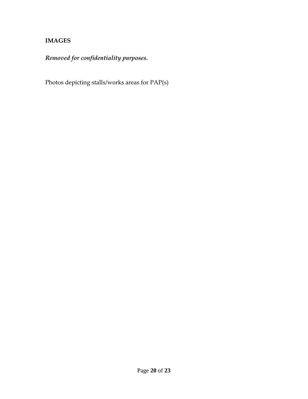#### <span id="page-19-0"></span>**IMAGES**

# *Removed for confidentiality purposes.*

Photos depicting stalls/works areas for PAP(s)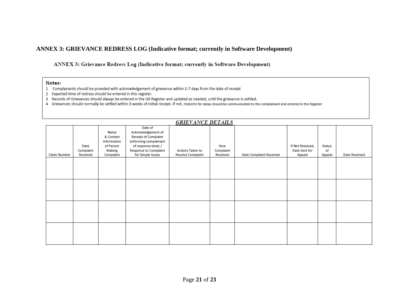#### **ANNEX 3: GRIEVANCE REDRESS LOG (Indicative format; currently in Software Development)**

#### ANNEX 3: Grievance Redress Log (Indicative format; currently in Software Development)

#### Notes:

- 1 Complainants should be provided with acknowledgement of grievance within 2-7 days from the date of receipt
- 2 Expected time of redress should be entered in this register.
- 3 Records of Grievances should always be entered in the GR Register and updated as needed, until the grievance is settled.
- 4 Grievances should normally be settled within 3 weeks of initial receipt. If not, reasons for delay should be communicated to the complainant and entered in the Register.

|              |                               |                                                                      |                                                                                                                                                                    | <b>GRIEVANCE DETAILS</b>                            |                              |                                |                                             |                               |                      |
|--------------|-------------------------------|----------------------------------------------------------------------|--------------------------------------------------------------------------------------------------------------------------------------------------------------------|-----------------------------------------------------|------------------------------|--------------------------------|---------------------------------------------|-------------------------------|----------------------|
| Claim Number | Date<br>Complaint<br>Received | Name<br>& Contact<br>Information<br>of Person<br>Making<br>Complaint | Date of<br>Acknowledgement of<br><b>Receipt of Complaint</b><br>(informing complainant<br>of response time) /<br><b>Response to Complaint</b><br>for Simple Issues | <b>Actions Taken to</b><br><b>Resolve Complaint</b> | How<br>Complaint<br>Resolved | <b>Date Complaint Resolved</b> | If Not Resolved,<br>Date Sent for<br>Appeal | <b>Status</b><br>of<br>Appeal | <b>Date Resolved</b> |
|              |                               |                                                                      |                                                                                                                                                                    |                                                     |                              |                                |                                             |                               |                      |
|              |                               |                                                                      |                                                                                                                                                                    |                                                     |                              |                                |                                             |                               |                      |
|              |                               |                                                                      |                                                                                                                                                                    |                                                     |                              |                                |                                             |                               |                      |
|              |                               |                                                                      |                                                                                                                                                                    |                                                     |                              |                                |                                             |                               |                      |
|              |                               |                                                                      |                                                                                                                                                                    |                                                     |                              |                                |                                             |                               |                      |
|              |                               |                                                                      |                                                                                                                                                                    |                                                     |                              |                                |                                             |                               |                      |
|              |                               |                                                                      |                                                                                                                                                                    |                                                     |                              |                                |                                             |                               |                      |
|              |                               |                                                                      |                                                                                                                                                                    |                                                     |                              |                                |                                             |                               |                      |
|              |                               |                                                                      |                                                                                                                                                                    |                                                     |                              |                                |                                             |                               |                      |
|              |                               |                                                                      |                                                                                                                                                                    |                                                     |                              |                                |                                             |                               |                      |
|              |                               |                                                                      |                                                                                                                                                                    |                                                     |                              |                                |                                             |                               |                      |
|              |                               |                                                                      |                                                                                                                                                                    |                                                     |                              |                                |                                             |                               |                      |

#### CRIEVALOR BETAILS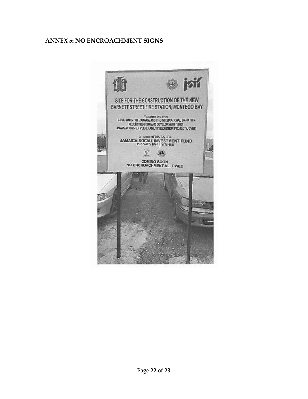#### **ANNEX 5: NO ENCROACHMENT SIGNS**